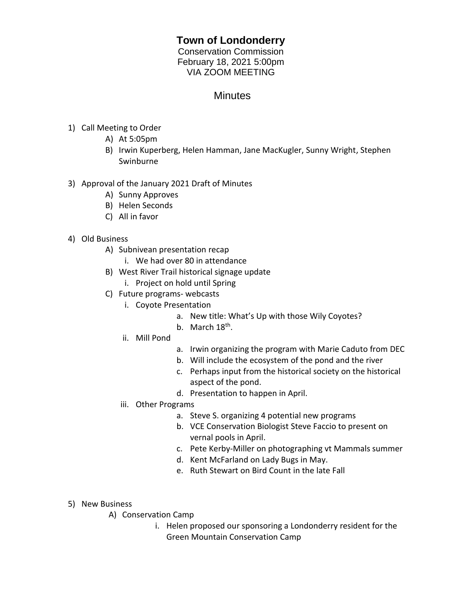## **Town of Londonderry**

Conservation Commission February 18, 2021 5:00pm VIA ZOOM MEETING

## **Minutes**

- 1) Call Meeting to Order
	- A) At 5:05pm
	- B) Irwin Kuperberg, Helen Hamman, Jane MacKugler, Sunny Wright, Stephen Swinburne
- 3) Approval of the January 2021 Draft of Minutes
	- A) Sunny Approves
	- B) Helen Seconds
	- C) All in favor
- 4) Old Business
	- A) Subnivean presentation recap
		- i. We had over 80 in attendance
	- B) West River Trail historical signage update
		- i. Project on hold until Spring
	- C) Future programs- webcasts
		- i. Coyote Presentation
			- a. New title: What's Up with those Wily Coyotes?
			- b. March 18<sup>th</sup>.
		- ii. Mill Pond
- a. Irwin organizing the program with Marie Caduto from DEC
- b. Will include the ecosystem of the pond and the river
- c. Perhaps input from the historical society on the historical aspect of the pond.
- d. Presentation to happen in April.
- iii. Other Programs
	- a. Steve S. organizing 4 potential new programs
	- b. VCE Conservation Biologist Steve Faccio to present on vernal pools in April.
	- c. Pete Kerby-Miller on photographing vt Mammals summer
	- d. Kent McFarland on Lady Bugs in May.
	- e. Ruth Stewart on Bird Count in the late Fall
- 5) New Business
	- A) Conservation Camp
		- i. Helen proposed our sponsoring a Londonderry resident for the Green Mountain Conservation Camp